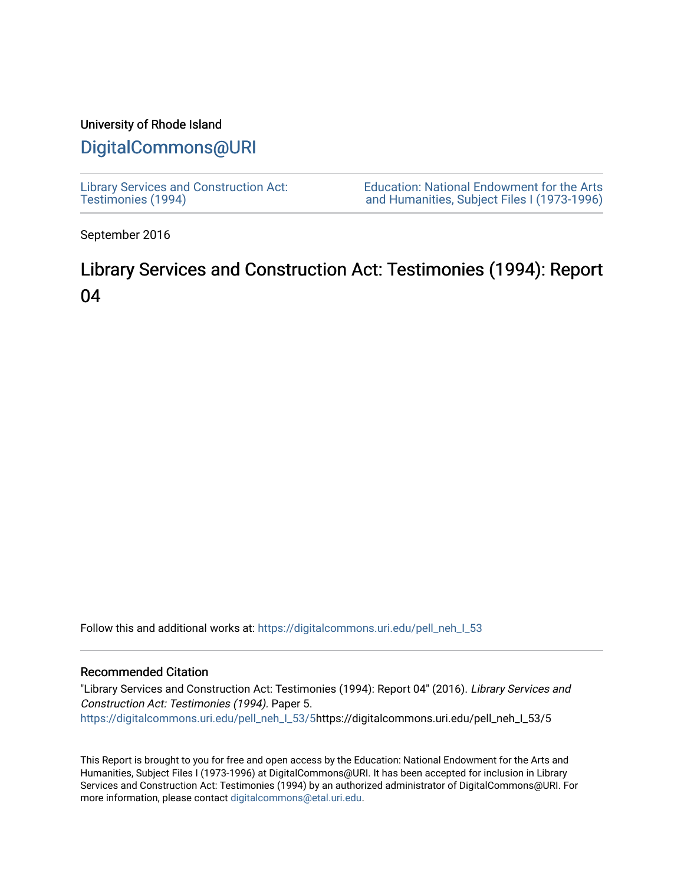# University of Rhode Island

# [DigitalCommons@URI](https://digitalcommons.uri.edu/)

[Library Services and Construction Act:](https://digitalcommons.uri.edu/pell_neh_I_53)  [Testimonies \(1994\)](https://digitalcommons.uri.edu/pell_neh_I_53) 

[Education: National Endowment for the Arts](https://digitalcommons.uri.edu/pell_neh_I)  [and Humanities, Subject Files I \(1973-1996\)](https://digitalcommons.uri.edu/pell_neh_I) 

September 2016

# Library Services and Construction Act: Testimonies (1994): Report 04

Follow this and additional works at: https://digitalcommons.uri.edu/pell\_neh\_I\_53

# Recommended Citation

"Library Services and Construction Act: Testimonies (1994): Report 04" (2016). Library Services and Construction Act: Testimonies (1994). Paper 5. [https://digitalcommons.uri.edu/pell\\_neh\\_I\\_53/5h](https://digitalcommons.uri.edu/pell_neh_I_53/5?utm_source=digitalcommons.uri.edu%2Fpell_neh_I_53%2F5&utm_medium=PDF&utm_campaign=PDFCoverPages)ttps://digitalcommons.uri.edu/pell\_neh\_I\_53/5

This Report is brought to you for free and open access by the Education: National Endowment for the Arts and Humanities, Subject Files I (1973-1996) at DigitalCommons@URI. It has been accepted for inclusion in Library Services and Construction Act: Testimonies (1994) by an authorized administrator of DigitalCommons@URI. For more information, please contact [digitalcommons@etal.uri.edu.](mailto:digitalcommons@etal.uri.edu)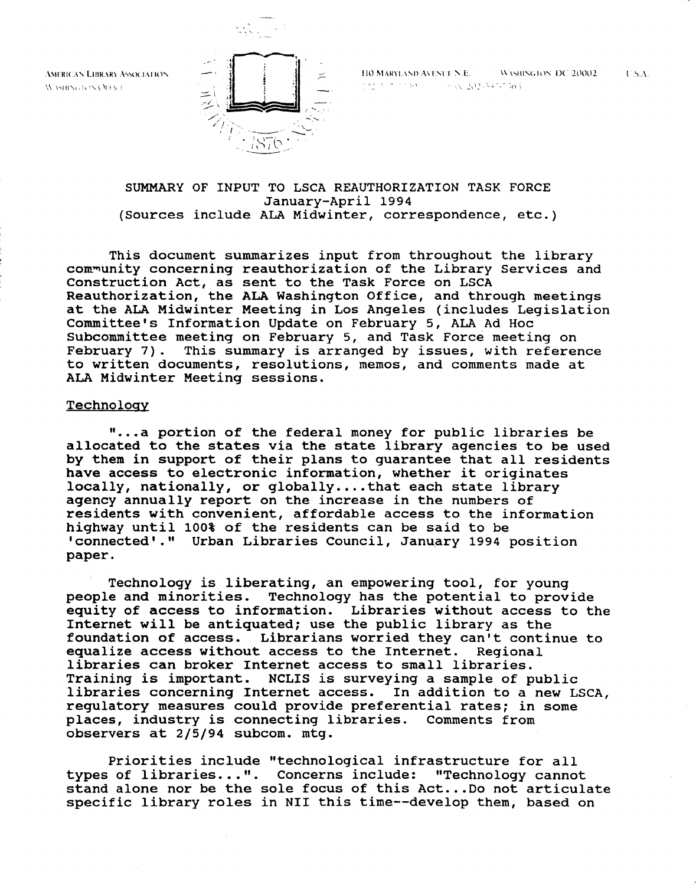**AMERICAN LIBRARY ASSOCIATION** WASHINGTON OFFICE



**IIO MARYLAND AVENUE N.E.** WASHINGTON DC 20002  $1$   $1$   $5$   $A$  .  $\frac{1}{2}$  ,  $\frac{1}{2}$  ;  $\frac{1}{2}$  ;  $\frac{1}{2}$  ;  $\frac{1}{2}$  ;  $\frac{1}{2}$  ;  $\frac{1}{2}$  ;  $\frac{1}{2}$  ;  $\frac{1}{2}$  ;  $\frac{1}{2}$  ;  $\frac{1}{2}$  ;  $\frac{1}{2}$  ;  $\frac{1}{2}$  ;  $\frac{1}{2}$  ;  $\frac{1}{2}$  ;  $\frac{1}{2}$  ;  $\frac{1}{2}$  ;  $\frac{1}{2}$  ;  $\frac{1$ 

# SUMMARY OF INPUT TO LSCA REAUTHORIZATION TASK FORCE January-April 1994 (Sources include ALA Midwinter, correspondence, etc.)

This document summarizes input from throughout the library com~unity concerning reauthorization of the Library Services and Construction Act, as sent to the Task Force on LSCA Reauthorization, the ALA Washington Office, and through meetings at the ALA Midwinter Meeting in Los Angeles (includes Legislation Committee's Information Update on February 5, ALA Ad Hoc Subcommittee meeting on February 5, and Task Force meeting on<br>February 7). This summary is arranged by issues, with refere This summary is arranged by issues, with reference to written documents, resolutions, memos, and comments made at ALA Midwinter Meeting sessions.

# **Technology**

"...a portion of the federal money for public libraries be allocated to the states via the state library agencies to be used by them in support of their plans to guarantee that all residents have access to electronic information, whether it originates locally, nationally, or globally....that each state library agency annually report on the increase in the numbers of residents with convenient, affordable access to the information highway until 100% of the residents can be said to be 'connected'." Urban Libraries Council, January 1994 position paper.

Technology is liberating, an empowering tool, for young people and minorities. Technology has the potential to provide equity of access to information. Libraries without access to the Internet will be antiquated; use the public library as the foundation of access. Librarians worried they can't contin Librarians worried they can't continue to<br>t access to the Internet. Regional equalize access without access to the Internet. libraries can broker Internet access to small libraries. Training is important. NCLIS is surveying a sample of public libraries concerning Internet access. In addition to a new LSCA, regulatory measures could provide preferential rates; in some places, industry is connecting libraries. Comments from observers at 2/5/94 subcom. mtg.

Priorities include "technological infrastructure for all types of libraries...". Concerns include: "Technology cannot stand alone nor be the sole focus of this Act... Do not articulate specific library roles in NII this time--develop them, based on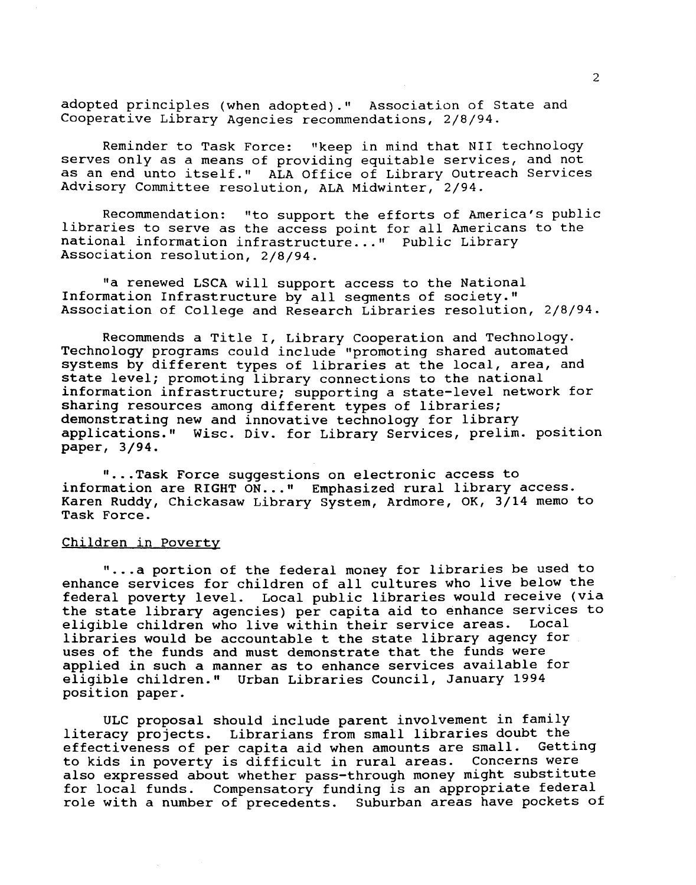adopted principles (when adopted)." Association of State and Cooperative Library Agencies recommendations, 2/8/94.

Reminder to Task Force: "keep in mind that NII technology serves only as a means of providing equitable services, and not as an end unto itself.'' ALA Office of Library Outreach Services Advisory Committee resolution, ALA Midwinter, 2/94.

Recommendation: "to support the efforts of America's public libraries to serve as the access point for all Americans to the national information infrastructure..." Public Library Association resolution, 2/8/94.

"a renewed LSCA will support access to the National Information Infrastructure by all segments of society." Association of College and Research Libraries resolution, 2/8/94.

Recommends a Title I, Library Cooperation and Technology. Technology programs could include "promoting shared automated systems by different types of libraries at the local, area, and state level; promoting library connections to the national information infrastructure; supporting a state-level network for sharing resources among different types of libraries; demonstrating new and innovative technology for library applications." Wisc. Div. for Library Services, prelim. position paper, 3/94.

" ... Task Force suggestions on electronic access to information are RIGHT ON..." Emphasized rural library access. Karen Ruddy, Chickasaw Library System, Ardmore, OK, 3/14 memo to Task Force.

# Children in Poverty

" ... a portion of the federal money for libraries be used to enhance services for children of all cultures who live below the federal poverty level. Local public libraries would receive (via the state library agencies) per capita aid to enhance services to eligible children who live within their service areas. Local libraries would be accountable t the state library agency for uses of the funds and must demonstrate that the funds were applied in such a manner as to enhance services available for eligible children." Urban Libraries Council, January 1994 position paper.

ULC proposal should include parent involvement in family literacy projects. Librarians from small libraries doubt the<br>effectiveness of per capita aid when amounts are small. Getting effectiveness of per capita aid when amounts are small. Getting<br>to kids in poverty is difficult in rural areas. Concerns were to kids in poverty is difficult in rural areas. also expressed about whether pass-through money might substitute for local funds. Compensatory funding is an appropriate federal role with a number of precedents. Suburban areas have pockets of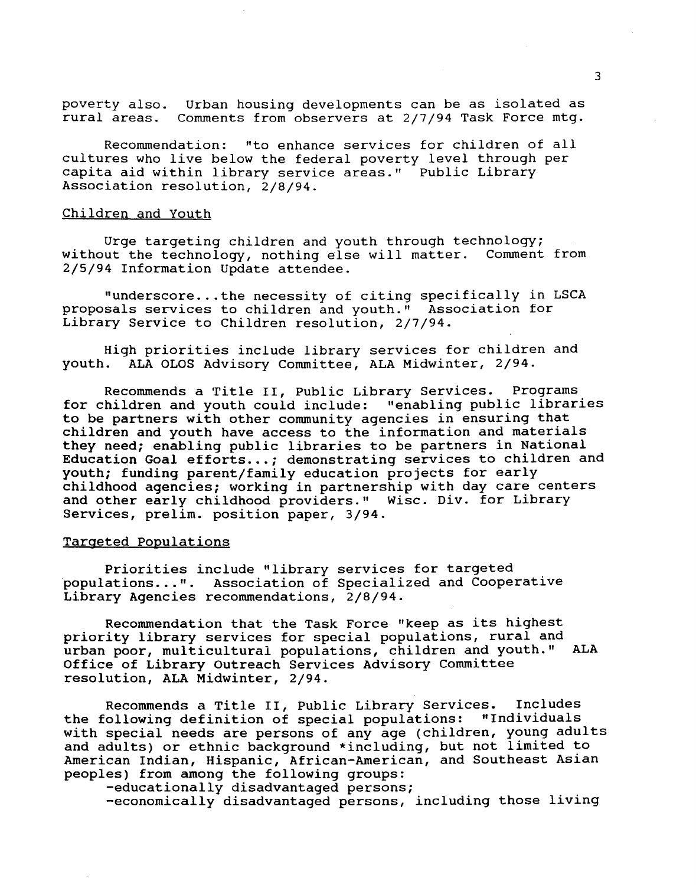poverty also. Urban housing developments can be as isolated as rural areas. Comments from observers at 2/7/94 Task Force mtg.

Recommendation: "to enhance services for children of all cultures who live below the federal poverty level through per capita aid within library service areas." Public Library Association resolution, 2/8/94.

#### Children and Youth

Urge targeting children and youth through technology; without the technology, nothing else will matter. Comment from 2/5/94 Information Update attendee.

"underscore ... the necessity of citing specifically in LSCA proposals services to children and youth." Association for Library Service to Children resolution, 2/7/94.

High priorities include library services for children and youth. ALA OLOS Advisory Committee, ALA Midwinter, 2/94. ALA OLOS Advisory Committee, ALA Midwinter, 2/94.

Recommends a Title II, Public Library Services. Programs for children and youth could include: "enabling public libraries to be partners with other community agencies in ensuring that children and youth have access to the information and materials they need; enabling public libraries to be partners in National Education Goal efforts...; demonstrating services to children and youth; funding parent/family education projects for early childhood agencies; working in partnership with day care centers and other early childhood providers." Wisc. Div. for Library Services, prelim. position paper, 3/94.

#### Targeted Populations

Priorities include "library services for targeted populations ... ". Association of Specialized and Cooperative Library Agencies recommendations, 2/8/94.

Recommendation that the Task Force "keep as its highest priority library services for special populations, rural and urban poor, multicultural populations, children and youth." ALA Office of Library Outreach Services Advisory Committee resolution, ALA Midwinter, 2/94.

Recommends a Title II, Public Library Services. Includes the following definition of special populations: "Individuals with special needs are persons of any age (children, young adults and adults) or ethnic background \*including, but not limited to American Indian, Hispanic, African-American, and Southeast Asian peoples) from among the following groups:

-educationally disadvantaged persons;

-economically disadvantaged persons, including those living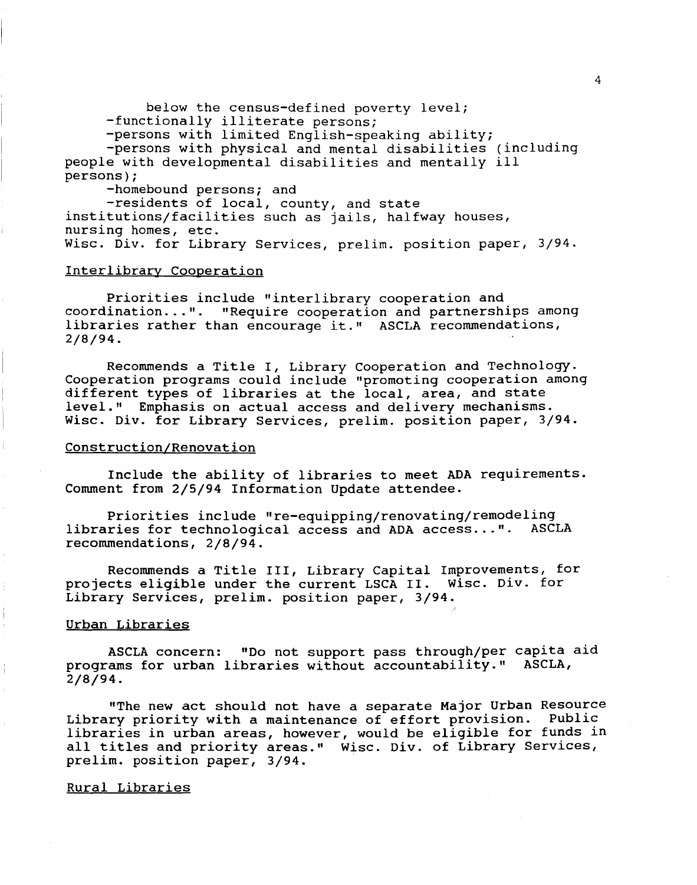below the census-defined poverty level; -functionally illiterate persons; -persons with limited English-speaking ability; -persons with physical and mental disabilities (including people with developmental disabilities and mentally ill persons); -homebound persons; and -residents of local, county, and state institutions/facilities such as jails, halfway houses,

#### Interlibrary Cooperation

nursing homes, etc.

Priorities include "interlibrary cooperation and coordination ... ". "Require cooperation and partnerships among libraries rather than encourage it." ASCLA recommendations, 2/8/94.

Wisc. Div. for Library Services, prelim. position paper, 3/94.

Recommends a Title I, Library Cooperation and Technology. Cooperation programs could include "promoting cooperation among different types of libraries at the local, area, and state level." Emphasis on actual access and delivery mechanisms. Wisc. Div. for Library Services, prelim. position paper, 3/94.

#### Construction/Renovation

Include the ability of libraries to meet ADA requirements. Comment from 2/5/94 Information Update attendee.

Priorities include "re-equipping/renovating/remodeling libraries for technological access and ADA access...". ASCLA recommendations, 2/8/94.

Recommends a Title III, Library Capital Improvements, for projects eligible under the current LSCA II. Wisc. Div. for Library Services, prelim. position paper, 3/94.

#### Urban Libraries

ASCLA concern: "Do not support pass through/per capita aid programs for urban libraries without accountability." ASCLA, 2/8/94.

"The new act should not have a separate Major Urban Resource Library priority with a maintenance of effort provision. Public libraries in urban areas, however, would be eligible for funds in all titles and priority areas." Wisc. Div. of Library Services, prelim. position paper, 3/94.

#### Rural Libraries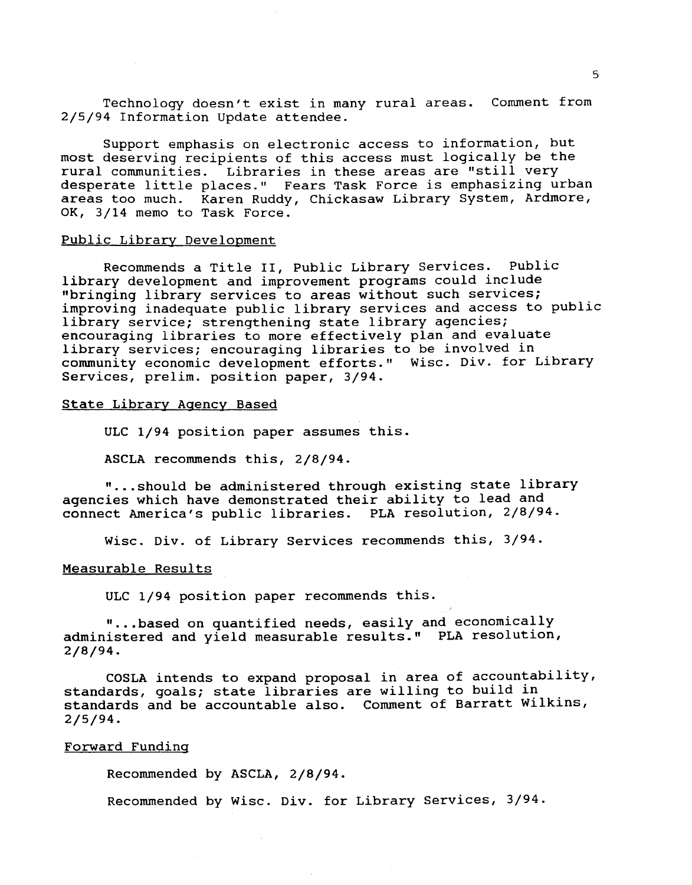Technology doesn't exist in many rural areas. Comment from 2/5/94 Information Update attendee.

Support emphasis on electronic access to information, but most deserving recipients of this access must logically be the rural communities. Libraries in these areas are "still very desperate little places." Fears Task Force is emphasizing urban areas too much. Karen Ruddy, Chickasaw Library System, Ardmore, OK, 3/14 memo to Task Force.

# Public Library Development

Recommends a Title II, Public Library Services. Public library development and improvement programs could include "bringing library services to areas without such services; improving inadequate public library services and access to public library service; strengthening state library agencies; encouraging libraries to more effectively plan and evaluate library services; encouraging libraries to be involved in community economic development efforts." Wisc. Div. for Library Services, prelim. position paper, 3/94.

#### State Library Agency Based

ULC 1/94 position paper assumes this.

ASCLA recommends this, 2/8/94.

" ... should be administered through existing state library agencies which have demonstrated their ability to lead and connect America's public libraries. PLA resolution, 2/8/94.

Wisc. Div. of Library Services recommends this, 3/94.

# Measurable Results

ULC 1/94 position paper recommends this.

"...based on quantified needs, easily and economically administered and yield measurable results." PLA resolution, 2/8/94.

COSLA intends to expand proposal in area of accountability, standards, goals; state libraries are willing to build in standards and be accountable also. Comment of Barratt Wilkins, 2/5/94.

#### Forward Funding

Recommended by ASCLA, 2/8/94.

Recommended by Wisc. Div. for Library Services, 3/94.